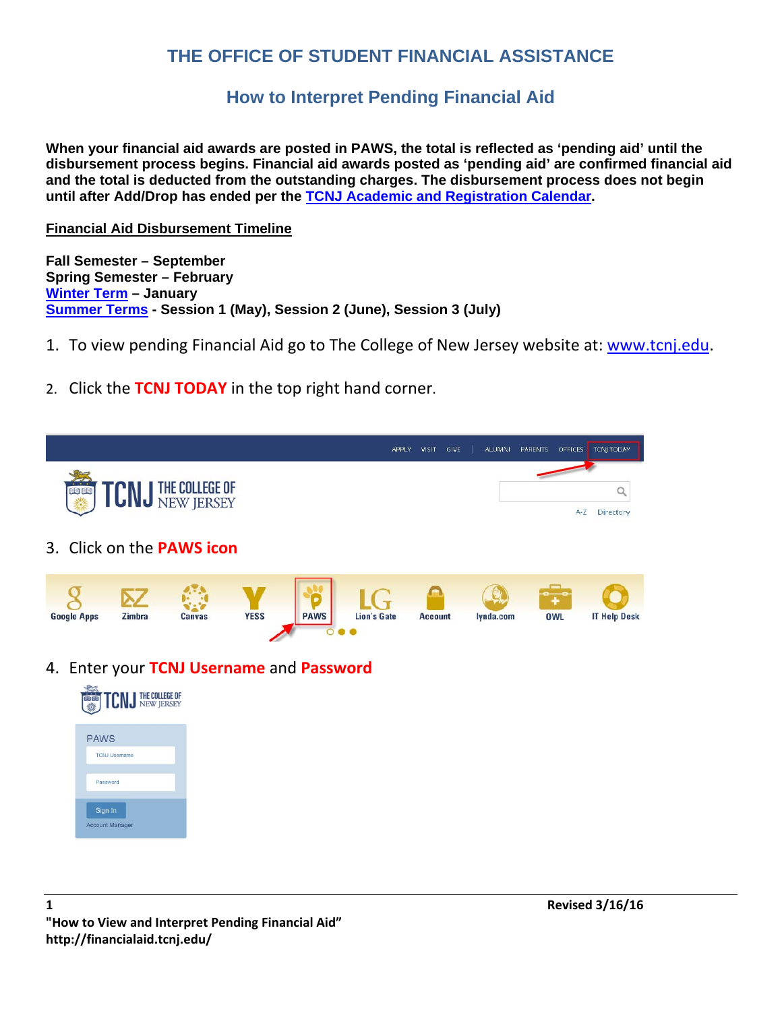## **THE OFFICE OF STUDENT FINANCIAL ASSISTANCE**

## **How to Interpret Pending Financial Aid**

**When your financial aid awards are posted in PAWS, the total is reflected as 'pending aid' until the disbursement process begins. Financial aid awards posted as 'pending aid' are confirmed financial aid and the total is deducted from the outstanding charges. The disbursement process does not begin until after Add/Drop has ended per the TCNJ Academic and Registration Calendar.** 

## **Financial Aid Disbursement Timeline**

**Fall Semester – September Spring Semester – February Winter Term – January Summer Terms - Session 1 (May), Session 2 (June), Session 3 (July)** 

- 1. To view pending Financial Aid go to The College of New Jersey website at: www.tcnj.edu.
- 2. Click the **TCNJ TODAY** in the top right hand corner.



4. Enter your **TCNJ Username** and **Password**

| <b>TCN J THE COLLEGE OF</b>         |
|-------------------------------------|
| <b>PAWS</b><br><b>TCNJ Username</b> |
| Password                            |
| Sign In<br><b>Account Manager</b>   |